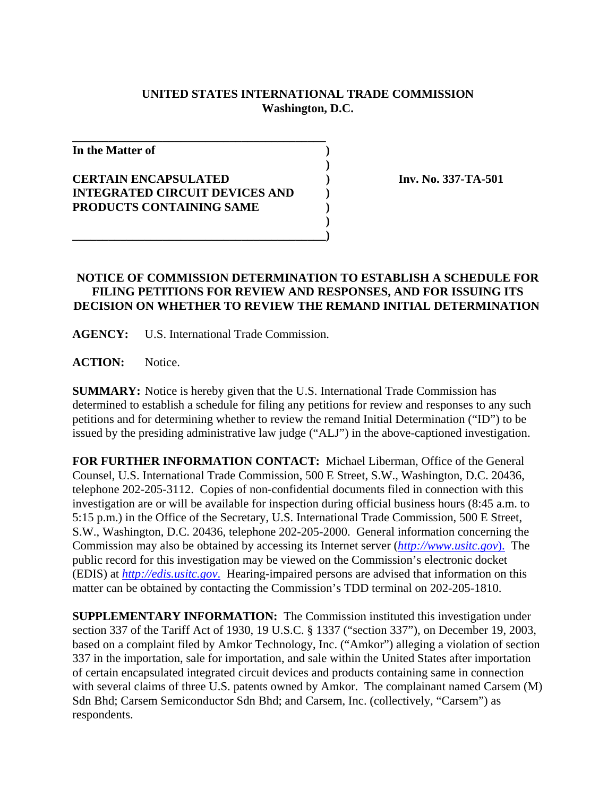## **UNITED STATES INTERNATIONAL TRADE COMMISSION Washington, D.C.**

**)**

**)**

**In the Matter of )**

## **CERTAIN ENCAPSULATED ) Inv. No. 337-TA-501 INTEGRATED CIRCUIT DEVICES AND ) PRODUCTS CONTAINING SAME )**

**\_\_\_\_\_\_\_\_\_\_\_\_\_\_\_\_\_\_\_\_\_\_\_\_\_\_\_\_\_\_\_\_\_\_\_\_\_\_\_\_\_\_**

## **NOTICE OF COMMISSION DETERMINATION TO ESTABLISH A SCHEDULE FOR FILING PETITIONS FOR REVIEW AND RESPONSES, AND FOR ISSUING ITS DECISION ON WHETHER TO REVIEW THE REMAND INITIAL DETERMINATION**

**AGENCY:** U.S. International Trade Commission.

**\_\_\_\_\_\_\_\_\_\_\_\_\_\_\_\_\_\_\_\_\_\_\_\_\_\_\_\_\_\_\_\_\_\_\_\_\_\_\_\_\_\_)**

ACTION: Notice.

**SUMMARY:** Notice is hereby given that the U.S. International Trade Commission has determined to establish a schedule for filing any petitions for review and responses to any such petitions and for determining whether to review the remand Initial Determination ("ID") to be issued by the presiding administrative law judge ("ALJ") in the above-captioned investigation.

**FOR FURTHER INFORMATION CONTACT:** Michael Liberman, Office of the General Counsel, U.S. International Trade Commission, 500 E Street, S.W., Washington, D.C. 20436, telephone 202-205-3112. Copies of non-confidential documents filed in connection with this investigation are or will be available for inspection during official business hours (8:45 a.m. to 5:15 p.m.) in the Office of the Secretary, U.S. International Trade Commission, 500 E Street, S.W., Washington, D.C. 20436, telephone 202-205-2000. General information concerning the Commission may also be obtained by accessing its Internet server (*http://www.usitc.gov*). The public record for this investigation may be viewed on the Commission's electronic docket (EDIS) at *http://edis.usitc.gov*. Hearing-impaired persons are advised that information on this matter can be obtained by contacting the Commission's TDD terminal on 202-205-1810.

**SUPPLEMENTARY INFORMATION:** The Commission instituted this investigation under section 337 of the Tariff Act of 1930, 19 U.S.C. § 1337 ("section 337"), on December 19, 2003, based on a complaint filed by Amkor Technology, Inc. ("Amkor") alleging a violation of section 337 in the importation, sale for importation, and sale within the United States after importation of certain encapsulated integrated circuit devices and products containing same in connection with several claims of three U.S. patents owned by Amkor. The complainant named Carsem (M) Sdn Bhd; Carsem Semiconductor Sdn Bhd; and Carsem, Inc. (collectively, "Carsem") as respondents.